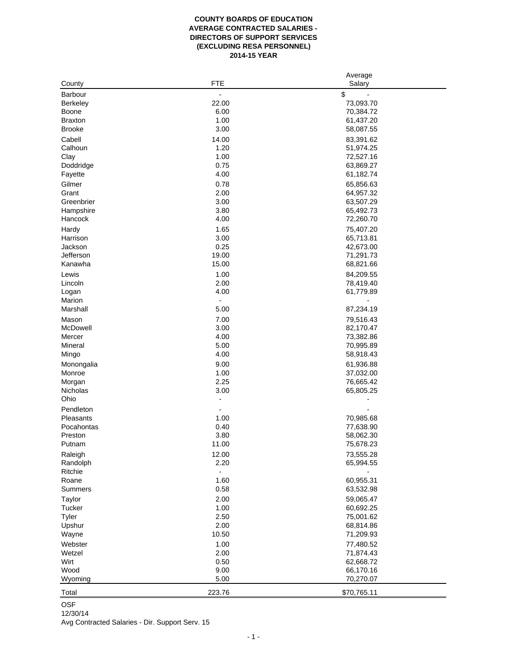## **COUNTY BOARDS OF EDUCATION AVERAGE CONTRACTED SALARIES - DIRECTORS OF SUPPORT SERVICES (EXCLUDING RESA PERSONNEL) 2014-15 YEAR**

|                |                              | Average     |  |
|----------------|------------------------------|-------------|--|
| County         | <b>FTE</b>                   | Salary      |  |
| <b>Barbour</b> |                              | \$          |  |
| Berkeley       | 22.00                        | 73,093.70   |  |
| Boone          | 6.00                         | 70,384.72   |  |
| <b>Braxton</b> | 1.00                         | 61,437.20   |  |
| <b>Brooke</b>  | 3.00                         | 58,087.55   |  |
|                |                              |             |  |
| Cabell         | 14.00                        | 83,391.62   |  |
| Calhoun        | 1.20                         | 51,974.25   |  |
| Clay           | 1.00                         | 72,527.16   |  |
| Doddridge      | 0.75                         | 63,869.27   |  |
| Fayette        | 4.00                         | 61,182.74   |  |
| Gilmer         | 0.78                         | 65,856.63   |  |
| Grant          | 2.00                         | 64,957.32   |  |
| Greenbrier     | 3.00                         | 63,507.29   |  |
| Hampshire      | 3.80                         | 65,492.73   |  |
| Hancock        | 4.00                         | 72,260.70   |  |
|                |                              |             |  |
| Hardy          | 1.65                         | 75,407.20   |  |
| Harrison       | 3.00                         | 65,713.81   |  |
| Jackson        | 0.25                         | 42,673.00   |  |
| Jefferson      | 19.00                        | 71,291.73   |  |
| Kanawha        | 15.00                        | 68,821.66   |  |
| Lewis          | 1.00                         | 84,209.55   |  |
| Lincoln        | 2.00                         | 78,419.40   |  |
| Logan          | 4.00                         | 61,779.89   |  |
| Marion         | $\qquad \qquad \blacksquare$ |             |  |
| Marshall       | 5.00                         | 87,234.19   |  |
| Mason          | 7.00                         | 79,516.43   |  |
|                |                              |             |  |
| McDowell       | 3.00                         | 82,170.47   |  |
| Mercer         | 4.00                         | 73,382.86   |  |
| Mineral        | 5.00                         | 70,995.89   |  |
| Mingo          | 4.00                         | 58,918.43   |  |
| Monongalia     | 9.00                         | 61,936.88   |  |
| Monroe         | 1.00                         | 37,032.00   |  |
| Morgan         | 2.25                         | 76,665.42   |  |
| Nicholas       | 3.00                         | 65,805.25   |  |
| Ohio           | ۰                            |             |  |
| Pendleton      | ÷,                           |             |  |
| Pleasants      | 1.00                         | 70,985.68   |  |
| Pocahontas     | 0.40                         | 77,638.90   |  |
| Preston        | 3.80                         |             |  |
|                |                              | 58,062.30   |  |
| Putnam         | 11.00                        | 75,678.23   |  |
| Raleigh        | 12.00                        | 73,555.28   |  |
| Randolph       | 2.20                         | 65,994.55   |  |
| Ritchie        |                              |             |  |
| Roane          | 1.60                         | 60,955.31   |  |
| Summers        | 0.58                         | 63,532.98   |  |
| Taylor         | 2.00                         | 59,065.47   |  |
| Tucker         | 1.00                         | 60,692.25   |  |
| Tyler          | 2.50                         | 75,001.62   |  |
| Upshur         | 2.00                         | 68,814.86   |  |
|                |                              |             |  |
| Wayne          | 10.50                        | 71,209.93   |  |
| Webster        | 1.00                         | 77,480.52   |  |
| Wetzel         | 2.00                         | 71,874.43   |  |
| Wirt           | 0.50                         | 62,668.72   |  |
| Wood           | 9.00                         | 66,170.16   |  |
| Wyoming        | 5.00                         | 70,270.07   |  |
|                |                              |             |  |
| Total          | 223.76                       | \$70,765.11 |  |

OSF

12/30/14

Avg Contracted Salaries - Dir. Support Serv. 15